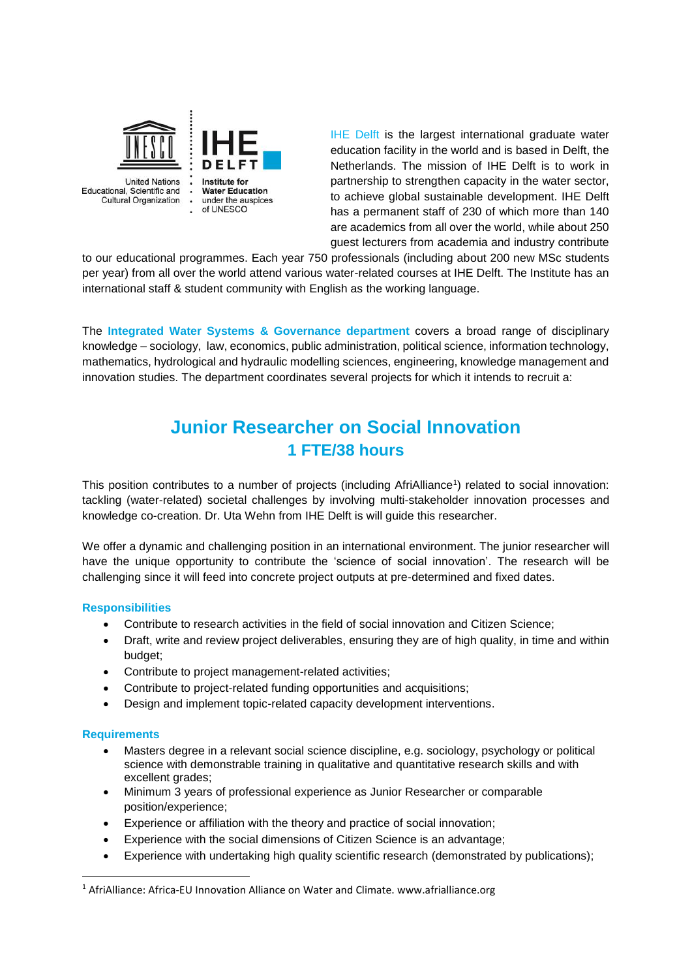

IHE Delft is the largest international graduate water education facility in the world and is based in Delft, the Netherlands. The mission of IHE Delft is to work in partnership to strengthen capacity in the water sector, to achieve global sustainable development. IHE Delft has a permanent staff of 230 of which more than 140 are academics from all over the world, while about 250 guest lecturers from academia and industry contribute

to our educational programmes. Each year 750 professionals (including about 200 new MSc students per year) from all over the world attend various water-related courses at IHE Delft. The Institute has an international staff & student community with English as the working language.

The **Integrated Water Systems & Governance department** covers a broad range of disciplinary knowledge – sociology, law, economics, public administration, political science, information technology, mathematics, hydrological and hydraulic modelling sciences, engineering, knowledge management and innovation studies. The department coordinates several projects for which it intends to recruit a:

# **Junior Researcher on Social Innovation 1 FTE/38 hours**

This position contributes to a number of projects (including AfriAlliance<sup>1</sup>) related to social innovation: tackling (water-related) societal challenges by involving multi-stakeholder innovation processes and knowledge co-creation. Dr. Uta Wehn from IHE Delft is will guide this researcher.

We offer a dynamic and challenging position in an international environment. The junior researcher will have the unique opportunity to contribute the 'science of social innovation'. The research will be challenging since it will feed into concrete project outputs at pre-determined and fixed dates.

# **Responsibilities**

- Contribute to research activities in the field of social innovation and Citizen Science;
- Draft, write and review project deliverables, ensuring they are of high quality, in time and within budget;
- Contribute to project management-related activities;
- Contribute to project-related funding opportunities and acquisitions;
- Design and implement topic-related capacity development interventions.

#### **Requirements**

**.** 

- Masters degree in a relevant social science discipline, e.g. sociology, psychology or political science with demonstrable training in qualitative and quantitative research skills and with excellent grades;
- Minimum 3 years of professional experience as Junior Researcher or comparable position/experience;
- Experience or affiliation with the theory and practice of social innovation;
- Experience with the social dimensions of Citizen Science is an advantage;
- Experience with undertaking high quality scientific research (demonstrated by publications);

<sup>&</sup>lt;sup>1</sup> AfriAlliance: Africa-EU Innovation Alliance on Water and Climate. www.afrialliance.org